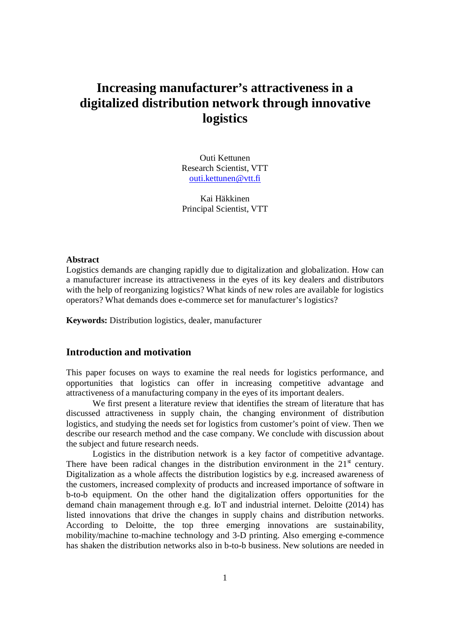# **Increasing manufacturer's attractiveness in a digitalized distribution network through innovative logistics**

Outi Kettunen Research Scientist, VTT outi.kettunen@vtt.fi

Kai Häkkinen Principal Scientist, VTT

#### **Abstract**

Logistics demands are changing rapidly due to digitalization and globalization. How can a manufacturer increase its attractiveness in the eyes of its key dealers and distributors with the help of reorganizing logistics? What kinds of new roles are available for logistics operators? What demands does e-commerce set for manufacturer's logistics?

**Keywords:** Distribution logistics, dealer, manufacturer

# **Introduction and motivation**

This paper focuses on ways to examine the real needs for logistics performance, and opportunities that logistics can offer in increasing competitive advantage and attractiveness of a manufacturing company in the eyes of its important dealers.

We first present a literature review that identifies the stream of literature that has discussed attractiveness in supply chain, the changing environment of distribution logistics, and studying the needs set for logistics from customer's point of view. Then we describe our research method and the case company. We conclude with discussion about the subject and future research needs.

Logistics in the distribution network is a key factor of competitive advantage. There have been radical changes in the distribution environment in the  $21<sup>st</sup>$  century. Digitalization as a whole affects the distribution logistics by e.g. increased awareness of the customers, increased complexity of products and increased importance of software in b-to-b equipment. On the other hand the digitalization offers opportunities for the demand chain management through e.g. IoT and industrial internet. Deloitte (2014) has listed innovations that drive the changes in supply chains and distribution networks. According to Deloitte, the top three emerging innovations are sustainability, mobility/machine to-machine technology and 3-D printing. Also emerging e-commence has shaken the distribution networks also in b-to-b business. New solutions are needed in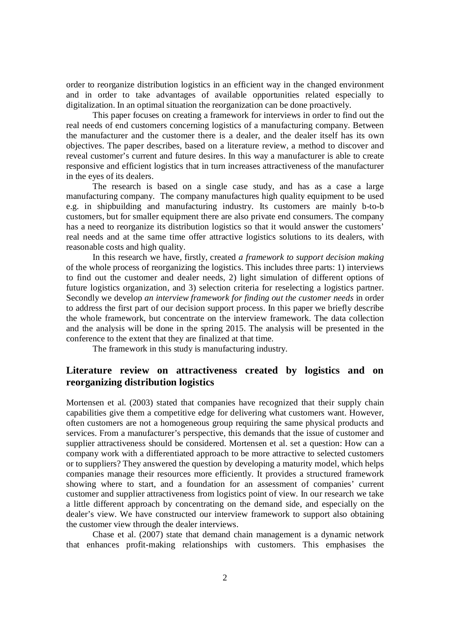order to reorganize distribution logistics in an efficient way in the changed environment and in order to take advantages of available opportunities related especially to digitalization. In an optimal situation the reorganization can be done proactively.

This paper focuses on creating a framework for interviews in order to find out the real needs of end customers concerning logistics of a manufacturing company. Between the manufacturer and the customer there is a dealer, and the dealer itself has its own objectives. The paper describes, based on a literature review, a method to discover and reveal customer's current and future desires. In this way a manufacturer is able to create responsive and efficient logistics that in turn increases attractiveness of the manufacturer in the eyes of its dealers.

The research is based on a single case study, and has as a case a large manufacturing company. The company manufactures high quality equipment to be used e.g. in shipbuilding and manufacturing industry. Its customers are mainly b-to-b customers, but for smaller equipment there are also private end consumers. The company has a need to reorganize its distribution logistics so that it would answer the customers' real needs and at the same time offer attractive logistics solutions to its dealers, with reasonable costs and high quality.

In this research we have, firstly, created *a framework to support decision making* of the whole process of reorganizing the logistics. This includes three parts: 1) interviews to find out the customer and dealer needs, 2) light simulation of different options of future logistics organization, and 3) selection criteria for reselecting a logistics partner. Secondly we develop *an interview framework for finding out the customer needs* in order to address the first part of our decision support process. In this paper we briefly describe the whole framework, but concentrate on the interview framework. The data collection and the analysis will be done in the spring 2015. The analysis will be presented in the conference to the extent that they are finalized at that time.

The framework in this study is manufacturing industry.

# **Literature review on attractiveness created by logistics and on reorganizing distribution logistics**

Mortensen et al. (2003) stated that companies have recognized that their supply chain capabilities give them a competitive edge for delivering what customers want. However, often customers are not a homogeneous group requiring the same physical products and services. From a manufacturer's perspective, this demands that the issue of customer and supplier attractiveness should be considered. Mortensen et al. set a question: How can a company work with a differentiated approach to be more attractive to selected customers or to suppliers? They answered the question by developing a maturity model, which helps companies manage their resources more efficiently. It provides a structured framework showing where to start, and a foundation for an assessment of companies' current customer and supplier attractiveness from logistics point of view. In our research we take a little different approach by concentrating on the demand side, and especially on the dealer's view. We have constructed our interview framework to support also obtaining the customer view through the dealer interviews.

Chase et al. (2007) state that demand chain management is a dynamic network that enhances profit-making relationships with customers. This emphasises the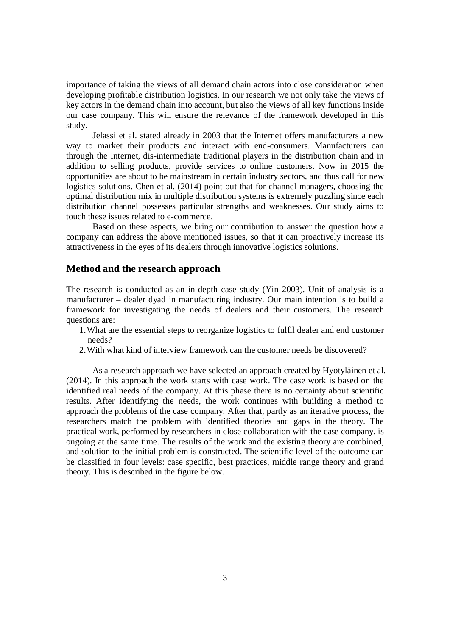importance of taking the views of all demand chain actors into close consideration when developing profitable distribution logistics. In our research we not only take the views of key actors in the demand chain into account, but also the views of all key functions inside our case company. This will ensure the relevance of the framework developed in this study.

Jelassi et al. stated already in 2003 that the Internet offers manufacturers a new way to market their products and interact with end-consumers. Manufacturers can through the Internet, dis-intermediate traditional players in the distribution chain and in addition to selling products, provide services to online customers. Now in 2015 the opportunities are about to be mainstream in certain industry sectors, and thus call for new logistics solutions. Chen et al. (2014) point out that for channel managers, choosing the optimal distribution mix in multiple distribution systems is extremely puzzling since each distribution channel possesses particular strengths and weaknesses. Our study aims to touch these issues related to e-commerce.

Based on these aspects, we bring our contribution to answer the question how a company can address the above mentioned issues, so that it can proactively increase its attractiveness in the eyes of its dealers through innovative logistics solutions.

# **Method and the research approach**

The research is conducted as an in-depth case study (Yin 2003). Unit of analysis is a manufacturer – dealer dyad in manufacturing industry. Our main intention is to build a framework for investigating the needs of dealers and their customers. The research questions are:

- 1.What are the essential steps to reorganize logistics to fulfil dealer and end customer needs?
- 2.With what kind of interview framework can the customer needs be discovered?

As a research approach we have selected an approach created by Hyötyläinen et al. (2014). In this approach the work starts with case work. The case work is based on the identified real needs of the company. At this phase there is no certainty about scientific results. After identifying the needs, the work continues with building a method to approach the problems of the case company. After that, partly as an iterative process, the researchers match the problem with identified theories and gaps in the theory. The practical work, performed by researchers in close collaboration with the case company, is ongoing at the same time. The results of the work and the existing theory are combined, and solution to the initial problem is constructed. The scientific level of the outcome can be classified in four levels: case specific, best practices, middle range theory and grand theory. This is described in the figure below.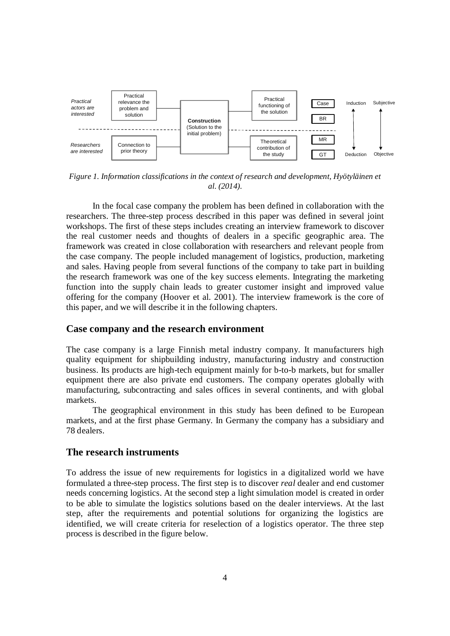

*Figure 1. Information classifications in the context of research and development, Hyötyläinen et al. (2014).*

In the focal case company the problem has been defined in collaboration with the researchers. The three-step process described in this paper was defined in several joint workshops. The first of these steps includes creating an interview framework to discover the real customer needs and thoughts of dealers in a specific geographic area. The framework was created in close collaboration with researchers and relevant people from the case company. The people included management of logistics, production, marketing and sales. Having people from several functions of the company to take part in building the research framework was one of the key success elements. Integrating the marketing function into the supply chain leads to greater customer insight and improved value offering for the company (Hoover et al. 2001). The interview framework is the core of this paper, and we will describe it in the following chapters.

#### **Case company and the research environment**

The case company is a large Finnish metal industry company. It manufacturers high quality equipment for shipbuilding industry, manufacturing industry and construction business. Its products are high-tech equipment mainly for b-to-b markets, but for smaller equipment there are also private end customers. The company operates globally with manufacturing, subcontracting and sales offices in several continents, and with global markets.

The geographical environment in this study has been defined to be European markets, and at the first phase Germany. In Germany the company has a subsidiary and 78 dealers.

### **The research instruments**

To address the issue of new requirements for logistics in a digitalized world we have formulated a three-step process. The first step is to discover *real* dealer and end customer needs concerning logistics. At the second step a light simulation model is created in order to be able to simulate the logistics solutions based on the dealer interviews. At the last step, after the requirements and potential solutions for organizing the logistics are identified, we will create criteria for reselection of a logistics operator. The three step process is described in the figure below.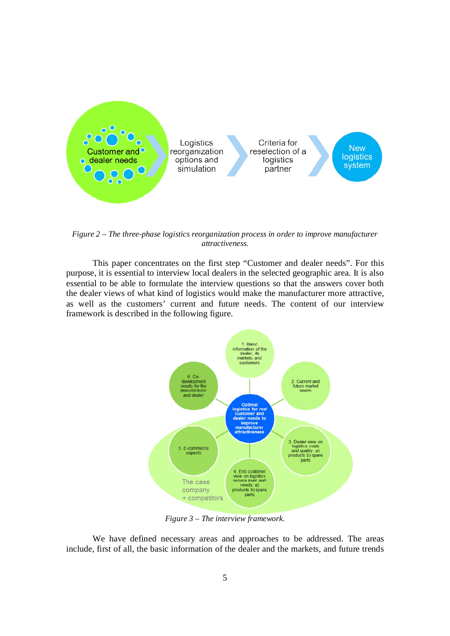

*Figure 2 – The three-phase logistics reorganization process in order to improve manufacturer attractiveness.*

This paper concentrates on the first step "Customer and dealer needs". For this purpose, it is essential to interview local dealers in the selected geographic area. It is also essential to be able to formulate the interview questions so that the answers cover both the dealer views of what kind of logistics would make the manufacturer more attractive, as well as the customers' current and future needs. The content of our interview framework is described in the following figure.



*Figure 3 – The interview framework.*

We have defined necessary areas and approaches to be addressed. The areas include, first of all, the basic information of the dealer and the markets, and future trends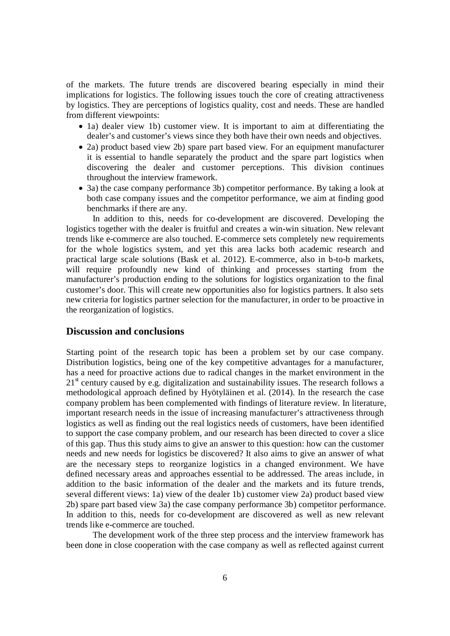of the markets. The future trends are discovered bearing especially in mind their implications for logistics. The following issues touch the core of creating attractiveness by logistics. They are perceptions of logistics quality, cost and needs. These are handled from different viewpoints:

- 1a) dealer view 1b) customer view. It is important to aim at differentiating the dealer's and customer's views since they both have their own needs and objectives.
- 2a) product based view 2b) spare part based view. For an equipment manufacturer it is essential to handle separately the product and the spare part logistics when discovering the dealer and customer perceptions. This division continues throughout the interview framework.
- 3a) the case company performance 3b) competitor performance. By taking a look at both case company issues and the competitor performance, we aim at finding good benchmarks if there are any.

In addition to this, needs for co-development are discovered. Developing the logistics together with the dealer is fruitful and creates a win-win situation. New relevant trends like e-commerce are also touched. E-commerce sets completely new requirements for the whole logistics system, and yet this area lacks both academic research and practical large scale solutions (Bask et al. 2012). E-commerce, also in b-to-b markets, will require profoundly new kind of thinking and processes starting from the manufacturer's production ending to the solutions for logistics organization to the final customer's door. This will create new opportunities also for logistics partners. It also sets new criteria for logistics partner selection for the manufacturer, in order to be proactive in the reorganization of logistics.

## **Discussion and conclusions**

Starting point of the research topic has been a problem set by our case company. Distribution logistics, being one of the key competitive advantages for a manufacturer, has a need for proactive actions due to radical changes in the market environment in the  $21<sup>st</sup>$  century caused by e.g. digitalization and sustainability issues. The research follows a methodological approach defined by Hyötyläinen et al. (2014). In the research the case company problem has been complemented with findings of literature review. In literature, important research needs in the issue of increasing manufacturer's attractiveness through logistics as well as finding out the real logistics needs of customers, have been identified to support the case company problem, and our research has been directed to cover a slice of this gap. Thus this study aims to give an answer to this question: how can the customer needs and new needs for logistics be discovered? It also aims to give an answer of what are the necessary steps to reorganize logistics in a changed environment. We have defined necessary areas and approaches essential to be addressed. The areas include, in addition to the basic information of the dealer and the markets and its future trends, several different views: 1a) view of the dealer 1b) customer view 2a) product based view 2b) spare part based view 3a) the case company performance 3b) competitor performance. In addition to this, needs for co-development are discovered as well as new relevant trends like e-commerce are touched.

The development work of the three step process and the interview framework has been done in close cooperation with the case company as well as reflected against current